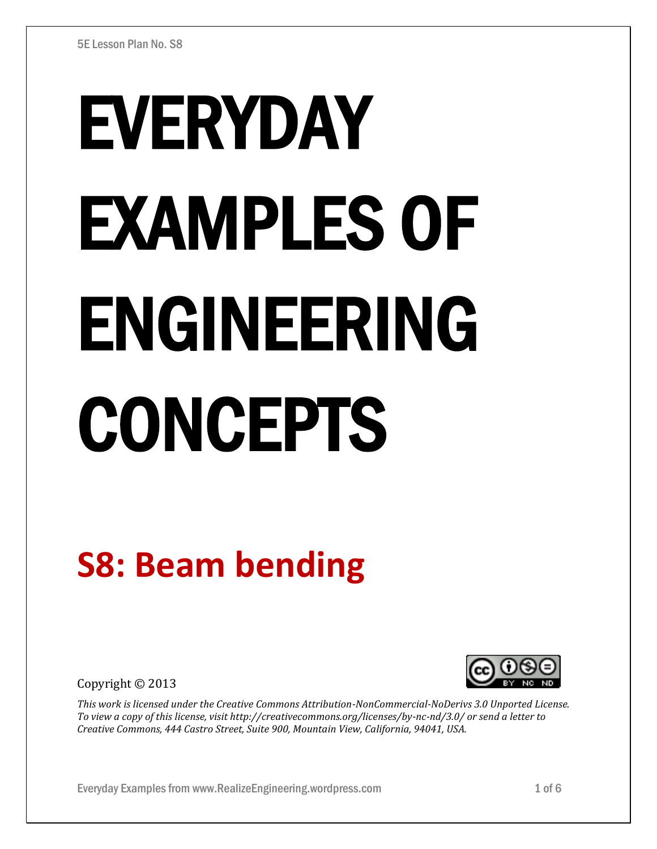# EVERYDAY EXAMPLES OF ENGINEERING CONCEPTS

## **S8: Beam bending**

Copyright © 2013



*This work is licensed under the Creative Commons Attribution-NonCommercial-NoDerivs 3.0 Unported License. To view a copy of this license, visit http://creativecommons.org/licenses/by-nc-nd/3.0/ or send a letter to Creative Commons, 444 Castro Street, Suite 900, Mountain View, California, 94041, USA.*

Everyday Examples from www.RealizeEngineering.wordpress.com 1 of 6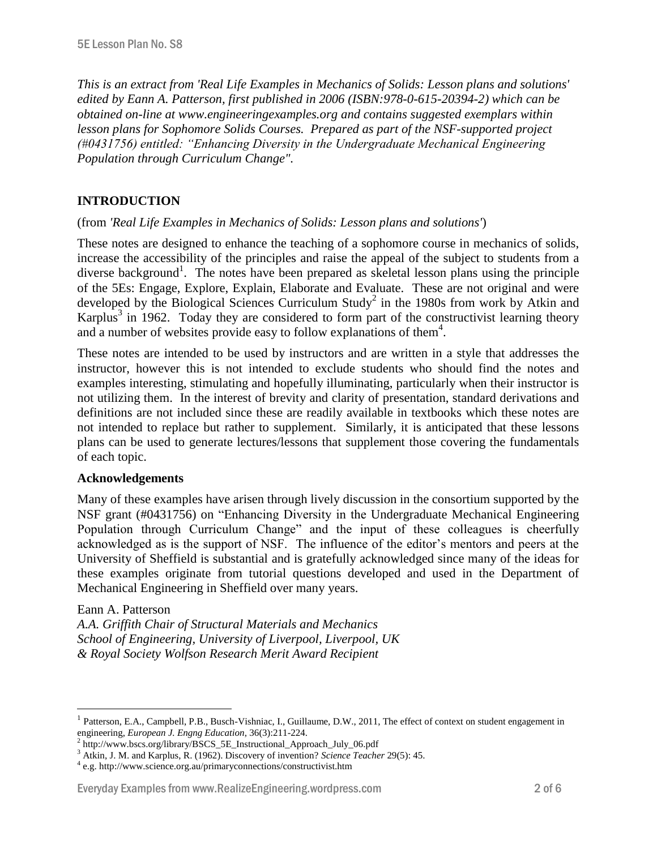*This is an extract from 'Real Life Examples in Mechanics of Solids: Lesson plans and solutions' edited by Eann A. Patterson, first published in 2006 (ISBN:978-0-615-20394-2) which can be obtained on-line at www.engineeringexamples.org and contains suggested exemplars within lesson plans for Sophomore Solids Courses. Prepared as part of the NSF-supported project (#0431756) entitled: "Enhancing Diversity in the Undergraduate Mechanical Engineering Population through Curriculum Change".* 

#### **INTRODUCTION**

#### (from *'Real Life Examples in Mechanics of Solids: Lesson plans and solutions'*)

These notes are designed to enhance the teaching of a sophomore course in mechanics of solids, increase the accessibility of the principles and raise the appeal of the subject to students from a diverse background<sup>1</sup>. The notes have been prepared as skeletal lesson plans using the principle of the 5Es: Engage, Explore, Explain, Elaborate and Evaluate. These are not original and were developed by the Biological Sciences Curriculum Study<sup>2</sup> in the 1980s from work by Atkin and Karplus<sup>3</sup> in 1962. Today they are considered to form part of the constructivist learning theory and a number of websites provide easy to follow explanations of them<sup>4</sup>.

These notes are intended to be used by instructors and are written in a style that addresses the instructor, however this is not intended to exclude students who should find the notes and examples interesting, stimulating and hopefully illuminating, particularly when their instructor is not utilizing them. In the interest of brevity and clarity of presentation, standard derivations and definitions are not included since these are readily available in textbooks which these notes are not intended to replace but rather to supplement. Similarly, it is anticipated that these lessons plans can be used to generate lectures/lessons that supplement those covering the fundamentals of each topic.

#### **Acknowledgements**

Many of these examples have arisen through lively discussion in the consortium supported by the NSF grant (#0431756) on "Enhancing Diversity in the Undergraduate Mechanical Engineering Population through Curriculum Change" and the input of these colleagues is cheerfully acknowledged as is the support of NSF. The influence of the editor's mentors and peers at the University of Sheffield is substantial and is gratefully acknowledged since many of the ideas for these examples originate from tutorial questions developed and used in the Department of Mechanical Engineering in Sheffield over many years.

#### Eann A. Patterson

 $\overline{a}$ 

*A.A. Griffith Chair of Structural Materials and Mechanics School of Engineering, University of Liverpool, Liverpool, UK & Royal Society Wolfson Research Merit Award Recipient*

#### Everyday Examples from www.RealizeEngineering.wordpress.com 2 of 6

<sup>1</sup> Patterson, E.A., Campbell, P.B., Busch-Vishniac, I., Guillaume, D.W., 2011, The effect of context on student engagement in engineering, *European J. Engng Education*, 36(3):211-224.

<sup>&</sup>lt;sup>2</sup> http://www.bscs.org/library/BSCS\_5E\_Instructional\_Approach\_July\_06.pdf

<sup>3</sup> Atkin, J. M. and Karplus, R. (1962). Discovery of invention? *Science Teacher* 29(5): 45.

<sup>4</sup> e.g. http://www.science.org.au/primaryconnections/constructivist.htm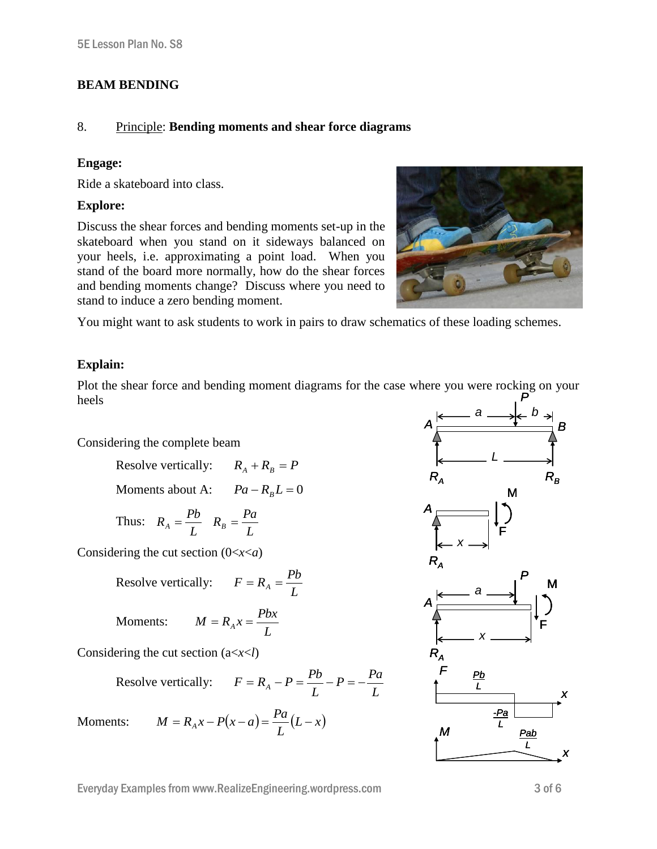#### **BEAM BENDING**

#### 8. Principle: **Bending moments and shear force diagrams**

#### **Engage:**

Ride a skateboard into class.

#### **Explore:**

Discuss the shear forces and bending moments set-up in the skateboard when you stand on it sideways balanced on your heels, i.e. approximating a point load. When you stand of the board more normally, how do the shear forces and bending moments change? Discuss where you need to stand to induce a zero bending moment.



You might want to ask students to work in pairs to draw schematics of these loading schemes.

#### **Explain:**

Plot the shear force and bending moment diagrams for the case where you were rocking on your heels *P*

Considering the complete beam

Resolve vertically: 
$$
R_A + R_B = P
$$

Moments about A: 
$$
Pa - R_B L = 0
$$

Thus: 
$$
R_A = \frac{Pb}{L} \quad R_B = \frac{Pa}{L}
$$

Considering the cut section (0<*x*<*a*)

Resolve vertically: 
$$
F = R_A = \frac{Pb}{L}
$$

Moments:  $M = R_A x = \frac{Pbx}{l}$ 

Considering the cut section (a<*x*<*l*)

Resolve vertically: 
$$
F = R_A - P = \frac{Pb}{L} - P = -\frac{Pa}{L}
$$

*L*

Moments:  $M = R_A x - P(x - a) = \frac{I u}{I} (L - x)$  $M = R_A x - P(x - a) = \frac{Pa}{L}(L - a)$ 

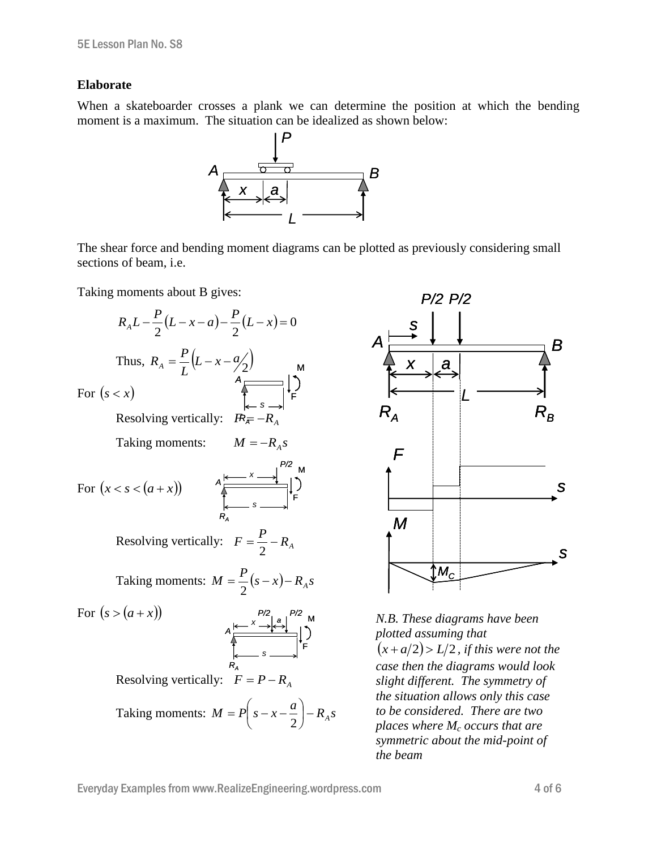#### **Elaborate**

When a skateboarder crosses a plank we can determine the position at which the bending moment is a maximum. The situation can be idealized as shown below:



The shear force and bending moment diagrams can be plotted as previously considering small sections of beam, i.e.

Taking moments about B gives:

$$
R_A L - \frac{P}{2} (L - x - a) - \frac{P}{2} (L - x) = 0
$$
  
\nThus,  $R_A = \frac{P}{L} (L - x - \frac{a}{2})$   
\nFor  $(s < x)$   
\nResolving vertically:  $R_{\overline{x}} = -R_A$   
\nTaking moments:  $M = -R_A s$   
\nFor  $(x < s < (a + x))$   
\n
$$
\begin{array}{c}\nR_{\overline{x}} & \rightarrow R_{\overline{z}} \\
R_A & \rightarrow R_{\overline{z}} \\
\end{array}
$$
\nResolving vertically:  $F = \frac{P}{2} - R_A$   
\nTaking moments:  $M = \frac{P}{2} (s - x) - R_A s$   
\nFor  $(s > (a + x))$   
\n
$$
A \xrightarrow{P/2} \begin{array}{c} P/2 \\ \downarrow R_A \end{array}
$$
\n
$$
A \xrightarrow{P/2} \begin{array}{c} P/2 \\ \downarrow R_A \end{array}
$$
\n
$$
A \xrightarrow{P/2} \begin{array}{c} P/2 \\ \downarrow R_A \end{array}
$$
\n
$$
S = \begin{array}{c} P/2 \\ \downarrow R_A \end{array}
$$
\nResolving vertically:  $F = P - R_A$   
\n
$$
Taking moments: M = P(S - x - \frac{a}{2}) - R_A s
$$



 *N.B. These diagrams have been plotted assuming that*  $(x + a/2)$  >  $L/2$ , *if this were not the case then the diagrams would look slight different. The symmetry of the situation allows only this case to be considered. There are two places where M<sup>c</sup> occurs that are symmetric about the mid-point of the beam*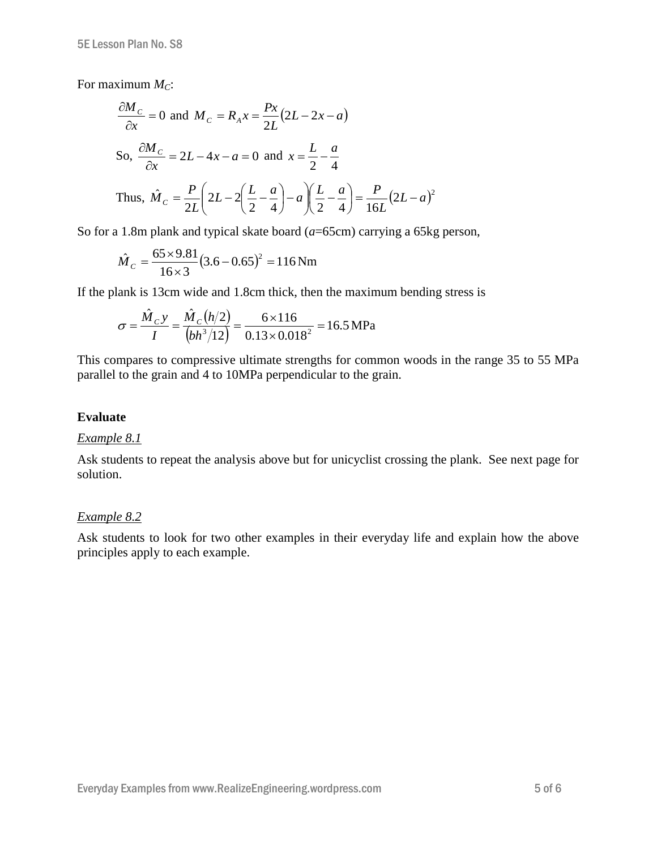For maximum *MC*:

$$
\frac{\partial M_C}{\partial x} = 0 \text{ and } M_C = R_A x = \frac{Px}{2L} (2L - 2x - a)
$$
  
So, 
$$
\frac{\partial M_C}{\partial x} = 2L - 4x - a = 0 \text{ and } x = \frac{L}{2} - \frac{a}{4}
$$
  
Thus, 
$$
\hat{M}_C = \frac{P}{2L} \left( 2L - 2\left(\frac{L}{2} - \frac{a}{4}\right) - a\right) \left(\frac{L}{2} - \frac{a}{4}\right) = \frac{P}{16L} (2L - a)^2
$$

So for a 1.8m plank and typical skate board (*a*=65cm) carrying a 65kg person,

$$
\hat{M}_c = \frac{65 \times 9.81}{16 \times 3} (3.6 - 0.65)^2 = 116 \,\text{Nm}
$$

If the plank is 13cm wide and 1.8cm thick, then the maximum bending stress is

$$
\sigma = \frac{\hat{M}_C y}{I} = \frac{\hat{M}_C (h/2)}{(bh^3/12)} = \frac{6 \times 116}{0.13 \times 0.018^2} = 16.5 \text{ MPa}
$$

This compares to compressive ultimate strengths for common woods in the range 35 to 55 MPa parallel to the grain and 4 to 10MPa perpendicular to the grain.

#### **Evaluate**

#### *Example 8.1*

Ask students to repeat the analysis above but for unicyclist crossing the plank. See next page for solution.

#### *Example 8.2*

Ask students to look for two other examples in their everyday life and explain how the above principles apply to each example.